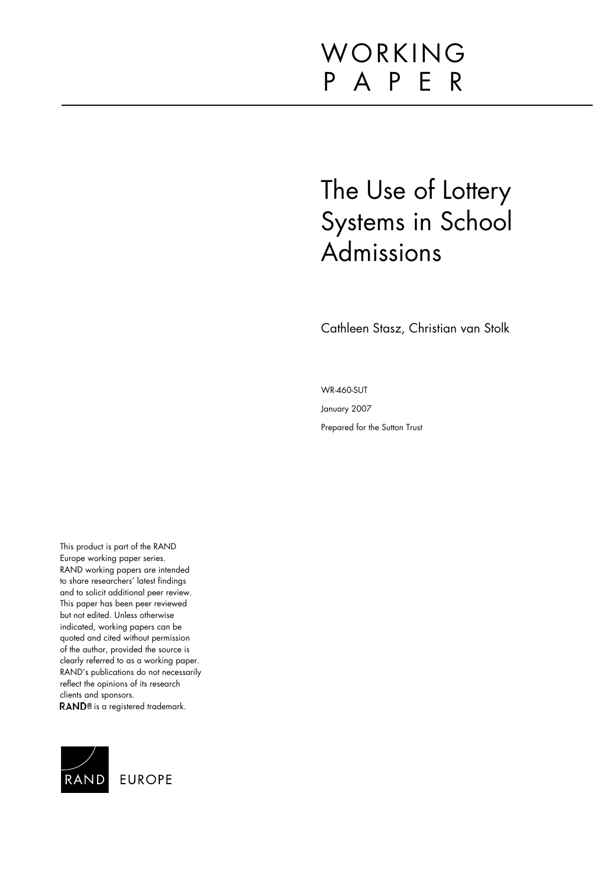# WORKING P A P E R

# The Use of Lottery Systems in School Admissions

Cathleen Stasz, Christian van Stolk

WR-460-SUT January 2007

Prepared for the Sutton Trust

This product is part of the RAND Europe working paper series. RAND working papers are intended to share researchers' latest findings and to solicit additional peer review. This paper has been peer reviewed but not edited. Unless otherwise indicated, working papers can be quoted and cited without permission of the author, provided the source is clearly referred to as a working paper. RAND's publications do not necessarily reflect the opinions of its research clients and sponsors. RAND<sup>®</sup> is a registered trademark.

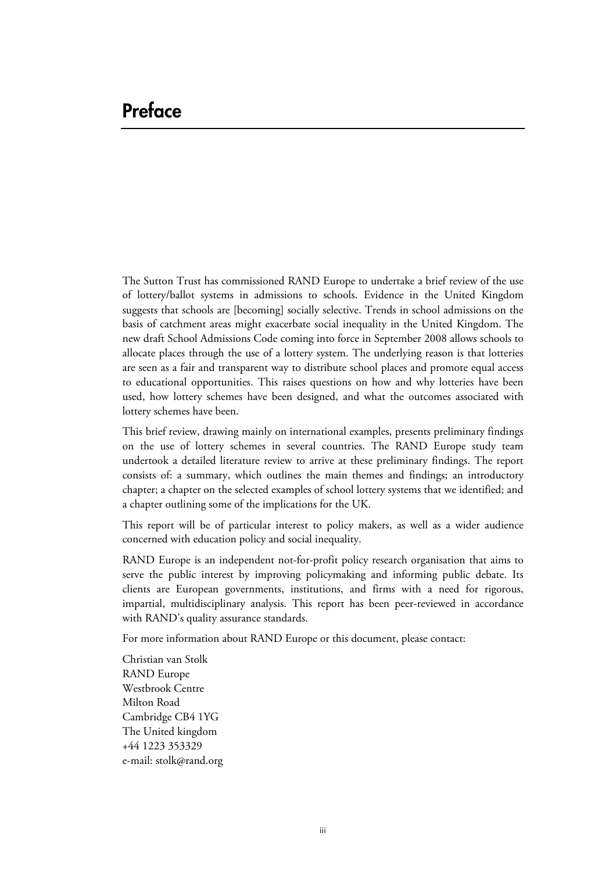## **Preface**

The Sutton Trust has commissioned RAND Europe to undertake a brief review of the use of lottery/ballot systems in admissions to schools. Evidence in the United Kingdom suggests that schools are [becoming] socially selective. Trends in school admissions on the basis of catchment areas might exacerbate social inequality in the United Kingdom. The new draft School Admissions Code coming into force in September 2008 allows schools to allocate places through the use of a lottery system. The underlying reason is that lotteries are seen as a fair and transparent way to distribute school places and promote equal access to educational opportunities. This raises questions on how and why lotteries have been used, how lottery schemes have been designed, and what the outcomes associated with lottery schemes have been.

This brief review, drawing mainly on international examples, presents preliminary findings on the use of lottery schemes in several countries. The RAND Europe study team undertook a detailed literature review to arrive at these preliminary findings. The report consists of: a summary, which outlines the main themes and findings; an introductory chapter; a chapter on the selected examples of school lottery systems that we identified; and a chapter outlining some of the implications for the UK.

This report will be of particular interest to policy makers, as well as a wider audience concerned with education policy and social inequality.

RAND Europe is an independent not-for-profit policy research organisation that aims to serve the public interest by improving policymaking and informing public debate. Its clients are European governments, institutions, and firms with a need for rigorous, impartial, multidisciplinary analysis. This report has been peer-reviewed in accordance with RAND's quality assurance standards.

For more information about RAND Europe or this document, please contact:

Christian van Stolk RAND Europe Westbrook Centre Milton Road Cambridge CB4 1YG The United kingdom +44 1223 353329 e-mail: [stolk@rand.org](mailto:stolk@rand.org)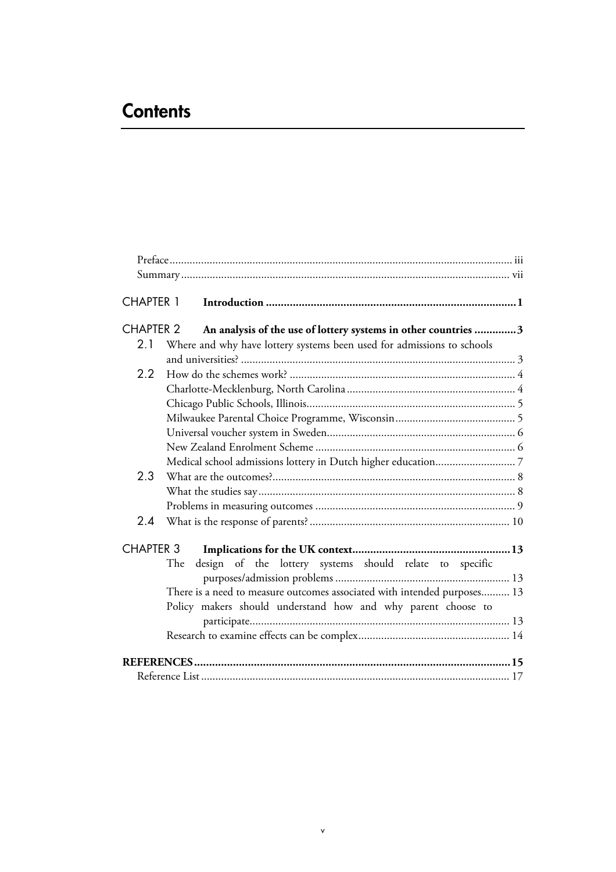# **Contents**

| <b>CHAPTER 1</b> |                                                                          |
|------------------|--------------------------------------------------------------------------|
| <b>CHAPTER 2</b> | An analysis of the use of lottery systems in other countries 3           |
| 2.1              | Where and why have lottery systems been used for admissions to schools   |
|                  |                                                                          |
| 2.2              |                                                                          |
|                  |                                                                          |
|                  |                                                                          |
|                  |                                                                          |
|                  |                                                                          |
|                  |                                                                          |
|                  |                                                                          |
| 2.3              |                                                                          |
|                  |                                                                          |
|                  |                                                                          |
| 2.4              |                                                                          |
| <b>CHAPTER 3</b> |                                                                          |
|                  | design of the lottery systems should relate to specific<br>The           |
|                  |                                                                          |
|                  | There is a need to measure outcomes associated with intended purposes 13 |
|                  | Policy makers should understand how and why parent choose to             |
|                  |                                                                          |
|                  |                                                                          |
|                  |                                                                          |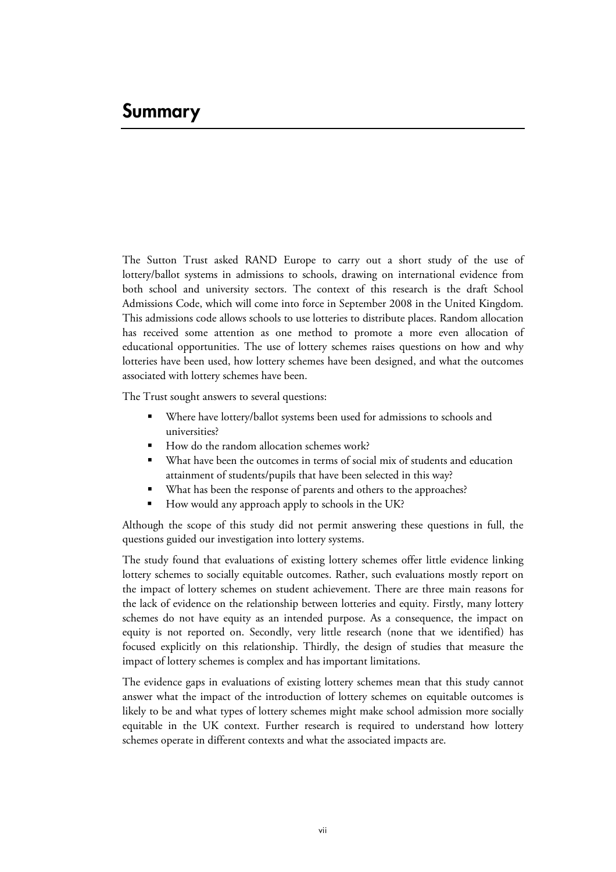## **Summary**

The Sutton Trust asked RAND Europe to carry out a short study of the use of lottery/ballot systems in admissions to schools, drawing on international evidence from both school and university sectors. The context of this research is the draft School Admissions Code, which will come into force in September 2008 in the United Kingdom. This admissions code allows schools to use lotteries to distribute places. Random allocation has received some attention as one method to promote a more even allocation of educational opportunities. The use of lottery schemes raises questions on how and why lotteries have been used, how lottery schemes have been designed, and what the outcomes associated with lottery schemes have been.

The Trust sought answers to several questions:

- Where have lottery/ballot systems been used for admissions to schools and universities?
- How do the random allocation schemes work? -
- What have been the outcomes in terms of social mix of students and education attainment of students/pupils that have been selected in this way?
- What has been the response of parents and others to the approaches? -
- How would any approach apply to schools in the UK?

Although the scope of this study did not permit answering these questions in full, the questions guided our investigation into lottery systems.

The study found that evaluations of existing lottery schemes offer little evidence linking lottery schemes to socially equitable outcomes. Rather, such evaluations mostly report on the impact of lottery schemes on student achievement. There are three main reasons for the lack of evidence on the relationship between lotteries and equity. Firstly, many lottery schemes do not have equity as an intended purpose. As a consequence, the impact on equity is not reported on. Secondly, very little research (none that we identified) has focused explicitly on this relationship. Thirdly, the design of studies that measure the impact of lottery schemes is complex and has important limitations.

The evidence gaps in evaluations of existing lottery schemes mean that this study cannot answer what the impact of the introduction of lottery schemes on equitable outcomes is likely to be and what types of lottery schemes might make school admission more socially equitable in the UK context. Further research is required to understand how lottery schemes operate in different contexts and what the associated impacts are.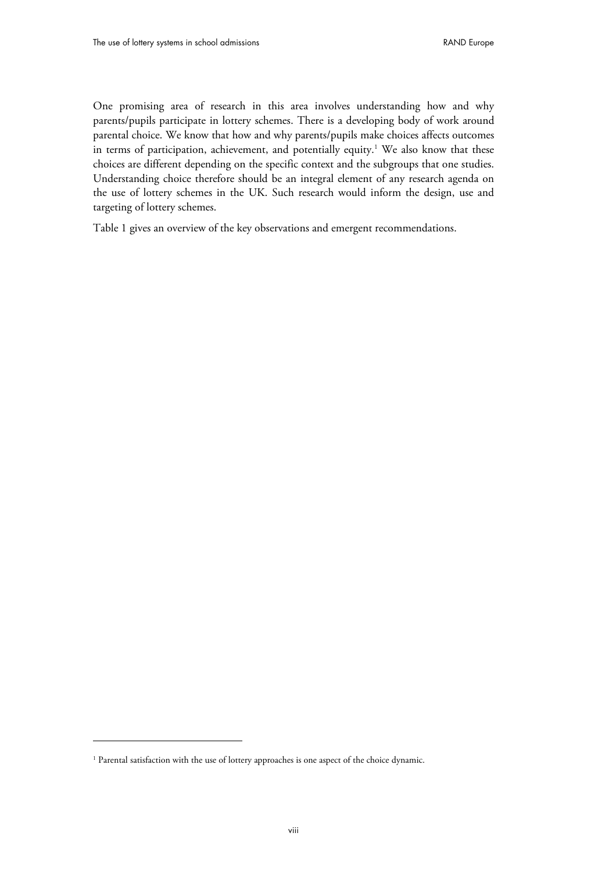One promising area of research in this area involves understanding how and why parents/pupils participate in lottery schemes. There is a developing body of work around parental choice. We know that how and why parents/pupils make choices affects outcomes in terms of participation, achievement, and potentially equity.<sup>1</sup> We also know that these choices are different depending on the specific context and the subgroups that one studies. Understanding choice therefore should be an integral element of any research agenda on the use of lottery schemes in the UK. Such research would inform the design, use and targeting of lottery schemes.

Table 1 gives an overview of the key observations and emergent recommendations.

-

<sup>&</sup>lt;sup>1</sup> Parental satisfaction with the use of lottery approaches is one aspect of the choice dynamic.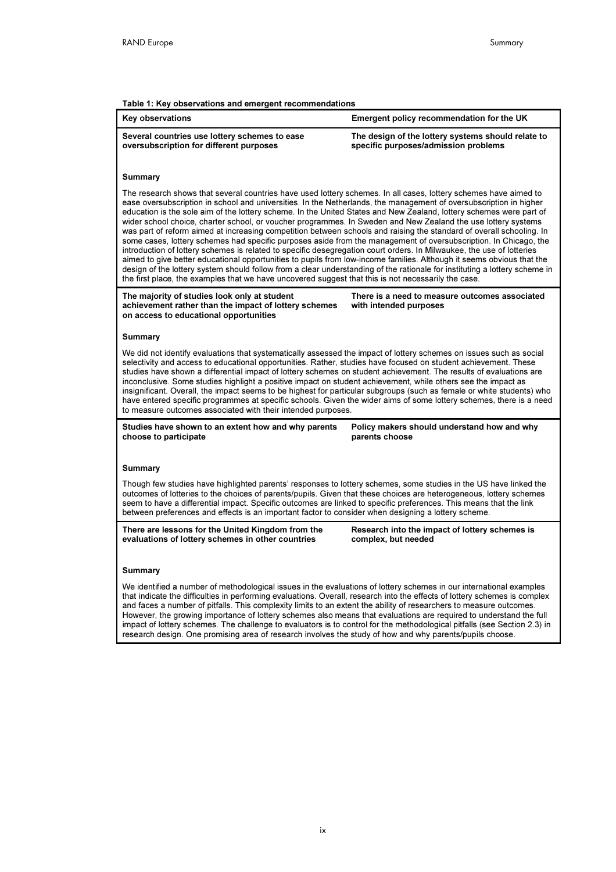I

I

#### Table 1: Key observations and emergent recommendations

| rable 1: Rey observations and emergent recommendations<br>Key observations                                                                                                                                                                                                                                                                                                                                                                                                                                                                                                                                                                                                                                                                                                                                                                                                                                                                                                                                                                                                                                                                                                                                        | Emergent policy recommendation for the UK                                                  |  |  |  |  |  |  |  |
|-------------------------------------------------------------------------------------------------------------------------------------------------------------------------------------------------------------------------------------------------------------------------------------------------------------------------------------------------------------------------------------------------------------------------------------------------------------------------------------------------------------------------------------------------------------------------------------------------------------------------------------------------------------------------------------------------------------------------------------------------------------------------------------------------------------------------------------------------------------------------------------------------------------------------------------------------------------------------------------------------------------------------------------------------------------------------------------------------------------------------------------------------------------------------------------------------------------------|--------------------------------------------------------------------------------------------|--|--|--|--|--|--|--|
| Several countries use lottery schemes to ease<br>oversubscription for different purposes                                                                                                                                                                                                                                                                                                                                                                                                                                                                                                                                                                                                                                                                                                                                                                                                                                                                                                                                                                                                                                                                                                                          | The design of the lottery systems should relate to<br>specific purposes/admission problems |  |  |  |  |  |  |  |
| <b>Summary</b>                                                                                                                                                                                                                                                                                                                                                                                                                                                                                                                                                                                                                                                                                                                                                                                                                                                                                                                                                                                                                                                                                                                                                                                                    |                                                                                            |  |  |  |  |  |  |  |
| The research shows that several countries have used lottery schemes. In all cases, lottery schemes have aimed to<br>ease oversubscription in school and universities. In the Netherlands, the management of oversubscription in higher<br>education is the sole aim of the lottery scheme. In the United States and New Zealand, lottery schemes were part of<br>wider school choice, charter school, or voucher programmes. In Sweden and New Zealand the use lottery systems<br>was part of reform aimed at increasing competition between schools and raising the standard of overall schooling. In<br>some cases, lottery schemes had specific purposes aside from the management of oversubscription. In Chicago, the<br>introduction of lottery schemes is related to specific desegregation court orders. In Milwaukee, the use of lotteries<br>aimed to give better educational opportunities to pupils from low-income families. Although it seems obvious that the<br>design of the lottery system should follow from a clear understanding of the rationale for instituting a lottery scheme in<br>the first place, the examples that we have uncovered suggest that this is not necessarily the case. |                                                                                            |  |  |  |  |  |  |  |
| There is a need to measure outcomes associated<br>The majority of studies look only at student<br>achievement rather than the impact of lottery schemes<br>with intended purposes<br>on access to educational opportunities                                                                                                                                                                                                                                                                                                                                                                                                                                                                                                                                                                                                                                                                                                                                                                                                                                                                                                                                                                                       |                                                                                            |  |  |  |  |  |  |  |
| Summary                                                                                                                                                                                                                                                                                                                                                                                                                                                                                                                                                                                                                                                                                                                                                                                                                                                                                                                                                                                                                                                                                                                                                                                                           |                                                                                            |  |  |  |  |  |  |  |
| We did not identify evaluations that systematically assessed the impact of lottery schemes on issues such as social<br>selectivity and access to educational opportunities. Rather, studies have focused on student achievement. These<br>studies have shown a differential impact of lottery schemes on student achievement. The results of evaluations are<br>inconclusive. Some studies highlight a positive impact on student achievement, while others see the impact as<br>insignificant. Overall, the impact seems to be highest for particular subgroups (such as female or white students) who<br>have entered specific programmes at specific schools. Given the wider aims of some lottery schemes, there is a need<br>to measure outcomes associated with their intended purposes.                                                                                                                                                                                                                                                                                                                                                                                                                    |                                                                                            |  |  |  |  |  |  |  |
| Studies have shown to an extent how and why parents<br>choose to participate                                                                                                                                                                                                                                                                                                                                                                                                                                                                                                                                                                                                                                                                                                                                                                                                                                                                                                                                                                                                                                                                                                                                      | Policy makers should understand how and why<br>parents choose                              |  |  |  |  |  |  |  |
| <b>Summary</b>                                                                                                                                                                                                                                                                                                                                                                                                                                                                                                                                                                                                                                                                                                                                                                                                                                                                                                                                                                                                                                                                                                                                                                                                    |                                                                                            |  |  |  |  |  |  |  |
| Though few studies have highlighted parents' responses to lottery schemes, some studies in the US have linked the<br>outcomes of lotteries to the choices of parents/pupils. Given that these choices are heterogeneous, lottery schemes<br>seem to have a differential impact. Specific outcomes are linked to specific preferences. This means that the link<br>between preferences and effects is an important factor to consider when designing a lottery scheme.                                                                                                                                                                                                                                                                                                                                                                                                                                                                                                                                                                                                                                                                                                                                             |                                                                                            |  |  |  |  |  |  |  |
| There are lessons for the United Kingdom from the<br>evaluations of lottery schemes in other countries                                                                                                                                                                                                                                                                                                                                                                                                                                                                                                                                                                                                                                                                                                                                                                                                                                                                                                                                                                                                                                                                                                            | Research into the impact of lottery schemes is<br>complex, but needed                      |  |  |  |  |  |  |  |
| Summary                                                                                                                                                                                                                                                                                                                                                                                                                                                                                                                                                                                                                                                                                                                                                                                                                                                                                                                                                                                                                                                                                                                                                                                                           |                                                                                            |  |  |  |  |  |  |  |
| We identified a number of methodological issues in the evaluations of lottery schemes in our international examples<br>that indicate the difficulties in performing evaluations. Overall, research into the effects of lottery schemes is complex<br>and faces a number of pitfalls. This complexity limits to an extent the ability of researchers to measure outcomes.<br>However, the growing importance of lottery schemes also means that evaluations are required to understand the full<br>impact of lottery schemes. The challenge to evaluators is to control for the methodological pitfalls (see Section 2.3) in<br>research design. One promising area of research involves the study of how and why parents/pupils choose.                                                                                                                                                                                                                                                                                                                                                                                                                                                                           |                                                                                            |  |  |  |  |  |  |  |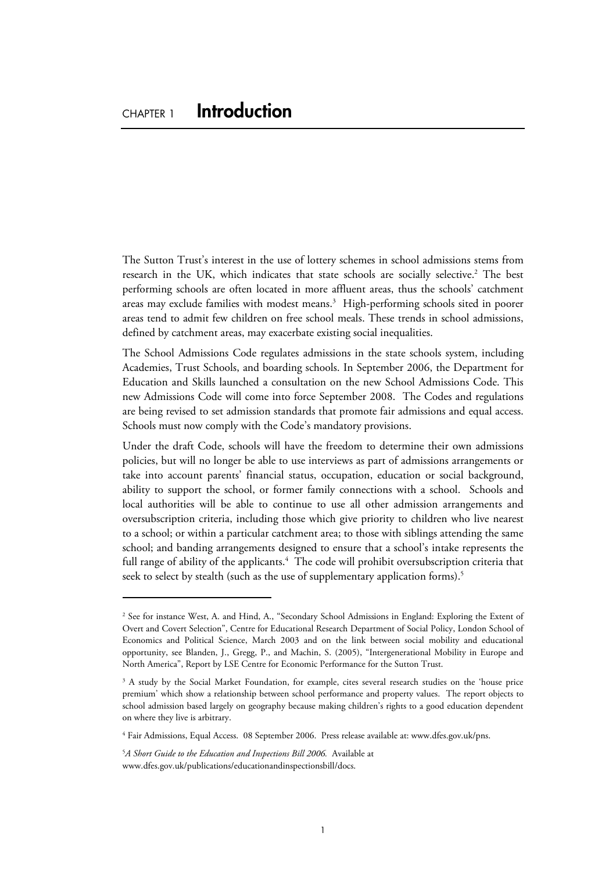The Sutton Trust's interest in the use of lottery schemes in school admissions stems from research in the UK, which indicates that state schools are socially selective.<sup>2</sup> The best performing schools are often located in more affluent areas, thus the schools' catchment areas may exclude families with modest means.<sup>3</sup> High-performing schools sited in poorer areas tend to admit few children on free school meals. These trends in school admissions, defined by catchment areas, may exacerbate existing social inequalities.

The School Admissions Code regulates admissions in the state schools system, including Academies, Trust Schools, and boarding schools. In September 2006, the Department for Education and Skills launched a consultation on the new School Admissions Code. This new Admissions Code will come into force September 2008. The Codes and regulations are being revised to set admission standards that promote fair admissions and equal access. Schools must now comply with the Code's mandatory provisions.

Under the draft Code, schools will have the freedom to determine their own admissions policies, but will no longer be able to use interviews as part of admissions arrangements or take into account parents' financial status, occupation, education or social background, ability to support the school, or former family connections with a school. Schools and local authorities will be able to continue to use all other admission arrangements and oversubscription criteria, including those which give priority to children who live nearest to a school; or within a particular catchment area; to those with siblings attending the same school; and banding arrangements designed to ensure that a school's intake represents the full range of ability of the applicants. $4$  The code will prohibit oversubscription criteria that seek to select by stealth (such as the use of supplementary application forms).<sup>5</sup>

 $\overline{a}$ 

<sup>2</sup> See for instance West, A. and Hind, A., "Secondary School Admissions in England: Exploring the Extent of Overt and Covert Selection", Centre for Educational Research Department of Social Policy, London School of Economics and Political Science, March 2003 and on the link between social mobility and educational opportunity, see Blanden, J., Gregg, P., and Machin, S. (2005), "Intergenerational Mobility in Europe and North America", Report by LSE Centre for Economic Performance for the Sutton Trust.

<sup>&</sup>lt;sup>3</sup> A study by the Social Market Foundation, for example, cites several research studies on the 'house price premium' which show a relationship between school performance and property values. The report objects to school admission based largely on geography because making children's rights to a good education dependent on where they live is arbitrary.

<sup>4</sup> Fair Admissions, Equal Access. 08 September 2006. Press release available at: [www.dfes.gov.uk/pns.](http://www.dfes.gov.uk/pns) 

<sup>&</sup>lt;sup>5</sup>A Short Guide to the Education and Inspections Bill 2006. Available at [www.dfes.gov.uk/publications/educationandinspectionsbill/docs.](http://www.dfes.gov.uk/publications/educationandinspectionsbill/docs)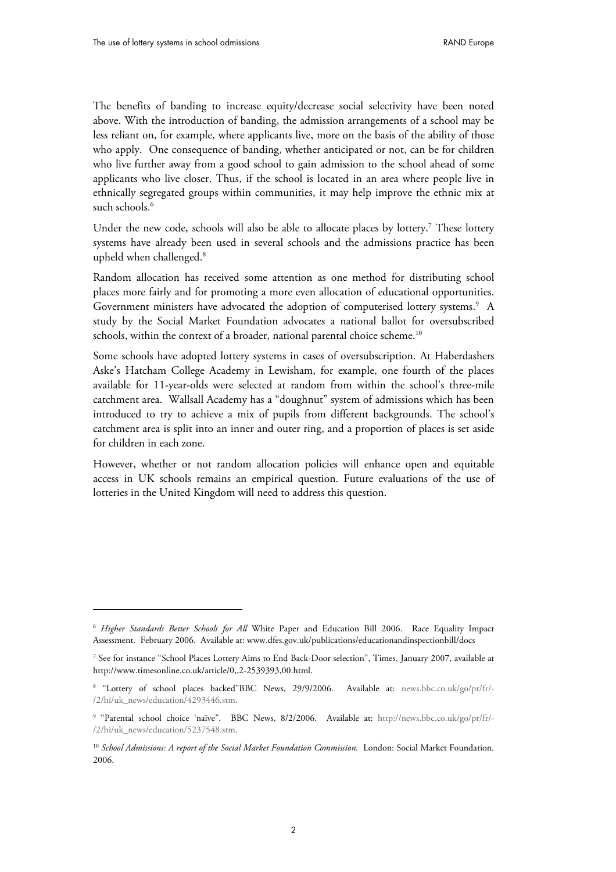$\overline{a}$ 

The benefits of banding to increase equity/decrease social selectivity have been noted above. With the introduction of banding, the admission arrangements of a school may be less reliant on, for example, where applicants live, more on the basis of the ability of those who apply. One consequence of banding, whether anticipated or not, can be for children who live further away from a good school to gain admission to the school ahead of some applicants who live closer. Thus, if the school is located in an area where people live in ethnically segregated groups within communities, it may help improve the ethnic mix at such schools.<sup>6</sup>

Under the new code, schools will also be able to allocate places by lottery.<sup>7</sup> These lottery systems have already been used in several schools and the admissions practice has been upheld when challenged.<sup>8</sup>

Random allocation has received some attention as one method for distributing school places more fairly and for promoting a more even allocation of educational opportunities. Government ministers have advocated the adoption of computerised lottery systems.<sup>9</sup> A study by the Social Market Foundation advocates a national ballot for oversubscribed schools, within the context of a broader, national parental choice scheme.<sup>10</sup>

Some schools have adopted lottery systems in cases of oversubscription. At Haberdashers Aske's Hatcham College Academy in Lewisham, for example, one fourth of the places available for 11-year-olds were selected at random from within the school's three-mile catchment area. Wallsall Academy has a "doughnut" system of admissions which has been introduced to try to achieve a mix of pupils from different backgrounds. The school's catchment area is split into an inner and outer ring, and a proportion of places is set aside for children in each zone.

However, whether or not random allocation policies will enhance open and equitable access in UK schools remains an empirical question. Future evaluations of the use of lotteries in the United Kingdom will need to address this question.

<sup>6</sup> *Higher Standards Better Schools for All* White Paper and Education Bill 2006. Race Equality Impact Assessment. February 2006. Available at: [www.dfes.gov.uk/publications/educationandinspectionbill/docs](http://www.dfes.gov.uk/publications/educationandinspectionbill/docs) 

<sup>7</sup> See for instance "School Places Lottery Aims to End Back-Door selection", Times, January 2007, available at <http://www.timesonline.co.uk/article/0,,2-2539393,00.html.>

<sup>8</sup> "Lottery of school places backed"BBC News, 29/9/2006. Available at: [news.bbc.co.uk/go/pr/fr/-](news.bbc.co.uk/go/pr/fr/-/2/hi/uk_news/education/4293446.stm) [/2/hi/uk\\_news/education/4293446.stm.](news.bbc.co.uk/go/pr/fr/-/2/hi/uk_news/education/4293446.stm)

<sup>9</sup> "Parental school choice 'naïve". BBC News, 8/2/2006. Available at: [http://news.bbc.co.uk/go/pr/fr/-](http://news.bbc.co.uk/go/pr/fr/-/2/hi/uk_news/education/5237548.stm) [/2/hi/uk\\_news/education/5237548.stm.](http://news.bbc.co.uk/go/pr/fr/-/2/hi/uk_news/education/5237548.stm)

<sup>&</sup>lt;sup>10</sup> School Admissions: A report of the Social Market Foundation Commission. London: Social Market Foundation. 2006.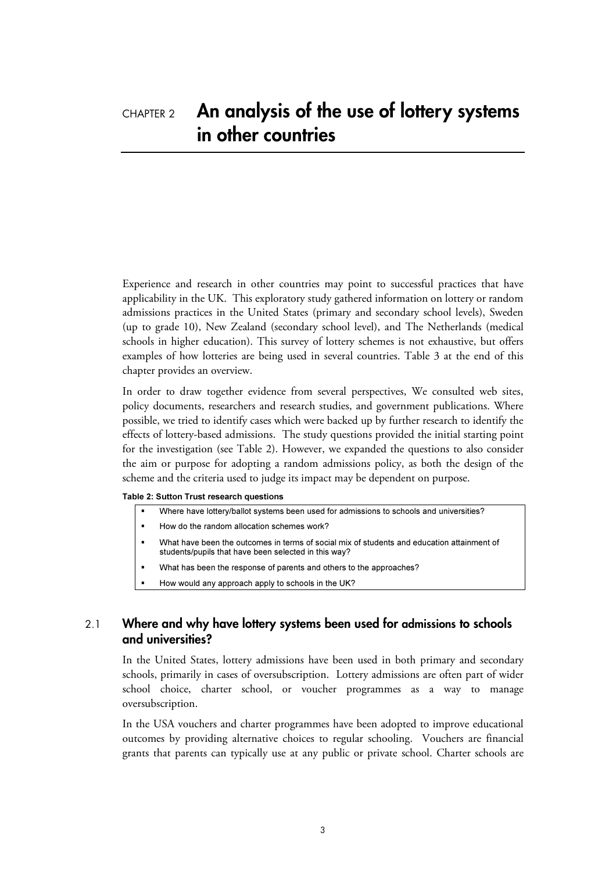### CHAPTER 2 **An analysis of the use of lottery systems in other countries**

Experience and research in other countries may point to successful practices that have applicability in the UK. This exploratory study gathered information on lottery or random admissions practices in the United States (primary and secondary school levels), Sweden (up to grade 10), New Zealand (secondary school level), and The Netherlands (medical schools in higher education). This survey of lottery schemes is not exhaustive, but offers examples of how lotteries are being used in several countries. Table 3 at the end of this chapter provides an overview.

In order to draw together evidence from several perspectives, We consulted web sites, policy documents, researchers and research studies, and government publications. Where possible, we tried to identify cases which were backed up by further research to identify the effects of lottery-based admissions. The study questions provided the initial starting point for the investigation (see Table 2). However, we expanded the questions to also consider the aim or purpose for adopting a random admissions policy, as both the design of the scheme and the criteria used to judge its impact may be dependent on purpose.

#### Table 2: Sutton Trust research questions -

- Where have lottery/ballot systems been used for admissions to schools and universities?
- How do the random allocation schemes work?
- - What have been the outcomes in terms of social mix of students and education attainment of students/pupils that have been selected in this way?
- What has been the response of parents and others to the approaches?
- How would any approach apply to schools in the UK?

#### 2.1 **Where and why have lottery systems been used for admissions to schools and universities?**

In the United States, lottery admissions have been used in both primary and secondary schools, primarily in cases of oversubscription. Lottery admissions are often part of wider school choice, charter school, or voucher programmes as a way to manage oversubscription.

In the USA vouchers and charter programmes have been adopted to improve educational outcomes by providing alternative choices to regular schooling. Vouchers are financial grants that parents can typically use at any public or private school. Charter schools are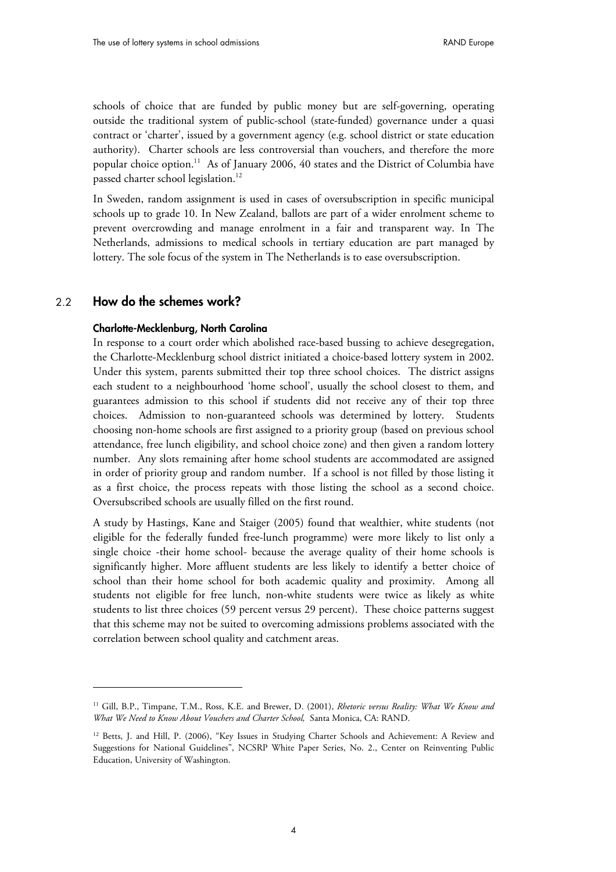schools of choice that are funded by public money but are self-governing, operating outside the traditional system of public-school (state-funded) governance under a quasi contract or 'charter', issued by a government agency (e.g. school district or state education authority). Charter schools are less controversial than vouchers, and therefore the more popular choice option.<sup>11</sup> As of January 2006, 40 states and the District of Columbia have passed charter school legislation.<sup>12</sup>

In Sweden, random assignment is used in cases of oversubscription in specific municipal schools up to grade 10. In New Zealand, ballots are part of a wider enrolment scheme to prevent overcrowding and manage enrolment in a fair and transparent way. In The Netherlands, admissions to medical schools in tertiary education are part managed by lottery. The sole focus of the system in The Netherlands is to ease oversubscription.

#### 2.2 **How do the schemes work?**

-

#### **Charlotte-Mecklenburg, North Carolina**

In response to a court order which abolished race-based bussing to achieve desegregation, the Charlotte-Mecklenburg school district initiated a choice-based lottery system in 2002. Under this system, parents submitted their top three school choices. The district assigns each student to a neighbourhood 'home school', usually the school closest to them, and guarantees admission to this school if students did not receive any of their top three choices. Admission to non-guaranteed schools was determined by lottery. Students choosing non-home schools are first assigned to a priority group (based on previous school attendance, free lunch eligibility, and school choice zone) and then given a random lottery number. Any slots remaining after home school students are accommodated are assigned in order of priority group and random number. If a school is not filled by those listing it as a first choice, the process repeats with those listing the school as a second choice. Oversubscribed schools are usually filled on the first round.

A study by Hastings, Kane and Staiger (2005) found that wealthier, white students (not eligible for the federally funded free-lunch programme) were more likely to list only a single choice -their home school- because the average quality of their home schools is significantly higher. More affluent students are less likely to identify a better choice of school than their home school for both academic quality and proximity. Among all students not eligible for free lunch, non-white students were twice as likely as white students to list three choices (59 percent versus 29 percent). These choice patterns suggest that this scheme may not be suited to overcoming admissions problems associated with the correlation between school quality and catchment areas.

<sup>11</sup> Gill, B.P., Timpane, T.M., Ross, K.E. and Brewer, D. (2001), *Rhetoric versus Reality: What We Know and What We Need to Know About Vouchers and Charter School,* Santa Monica, CA: RAND.

<sup>&</sup>lt;sup>12</sup> Betts, J. and Hill, P. (2006), "Key Issues in Studying Charter Schools and Achievement: A Review and Suggestions for National Guidelines", NCSRP White Paper Series, No. 2., Center on Reinventing Public Education, University of Washington.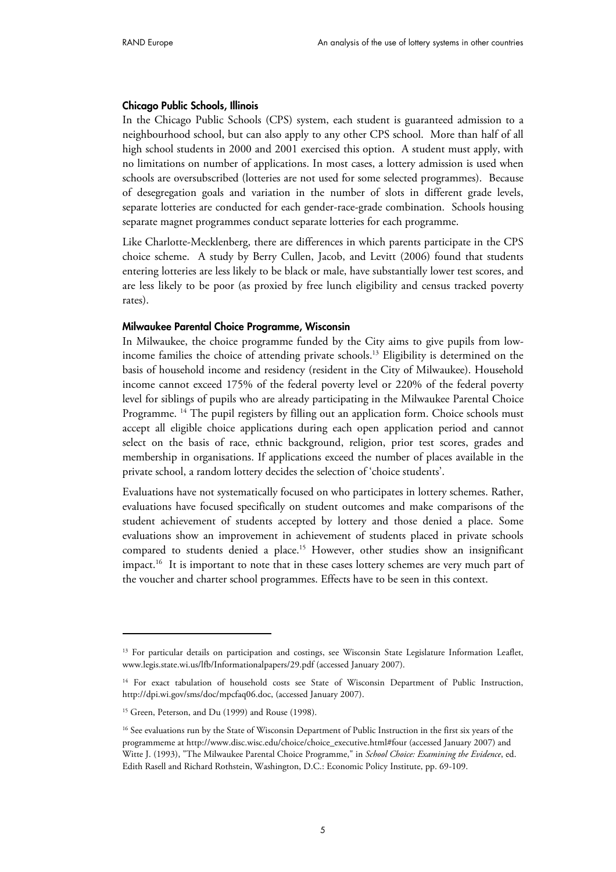#### **Chicago Public Schools, Illinois**

In the Chicago Public Schools (CPS) system, each student is guaranteed admission to a neighbourhood school, but can also apply to any other CPS school. More than half of all high school students in 2000 and 2001 exercised this option. A student must apply, with no limitations on number of applications. In most cases, a lottery admission is used when schools are oversubscribed (lotteries are not used for some selected programmes). Because of desegregation goals and variation in the number of slots in different grade levels, separate lotteries are conducted for each gender-race-grade combination. Schools housing separate magnet programmes conduct separate lotteries for each programme.

Like Charlotte-Mecklenberg, there are differences in which parents participate in the CPS choice scheme. A study by Berry Cullen, Jacob, and Levitt (2006) found that students entering lotteries are less likely to be black or male, have substantially lower test scores, and are less likely to be poor (as proxied by free lunch eligibility and census tracked poverty rates).

#### **Milwaukee Parental Choice Programme, Wisconsin**

In Milwaukee, the choice programme funded by the City aims to give pupils from lowincome families the choice of attending private schools.13 Eligibility is determined on the basis of household income and residency (resident in the City of Milwaukee). Household income cannot exceed 175% of the federal poverty level or 220% of the federal poverty level for siblings of pupils who are already participating in the Milwaukee Parental Choice Programme. <sup>14</sup> The pupil registers by filling out an application form. Choice schools must accept all eligible choice applications during each open application period and cannot select on the basis of race, ethnic background, religion, prior test scores, grades and membership in organisations. If applications exceed the number of places available in the private school, a random lottery decides the selection of 'choice students'.

Evaluations have not systematically focused on who participates in lottery schemes. Rather, evaluations have focused specifically on student outcomes and make comparisons of the student achievement of students accepted by lottery and those denied a place. Some evaluations show an improvement in achievement of students placed in private schools compared to students denied a place.15 However, other studies show an insignificant impact.<sup>16</sup> It is important to note that in these cases lottery schemes are very much part of the voucher and charter school programmes. Effects have to be seen in this context.

-

<sup>&</sup>lt;sup>13</sup> For particular details on participation and costings, see Wisconsin State Legislature Information Leaflet, [www.legis.state.wi.us/lfb/Informationalpapers/29.pdf \(a](http://www.legis.state.wi.us/lfb/Informationalpapers/29.pdf)ccessed January 2007).

<sup>&</sup>lt;sup>14</sup> For exact tabulation of household costs see State of Wisconsin Department of Public Instruction, [http://dpi.wi.gov/sms/doc/mpcfaq06.doc,](http://dpi.wi.gov/sms/doc/mpcfaq06.doc) (accessed January 2007).

<sup>15</sup> Green, Peterson, and Du (1999) and Rouse (1998).

<sup>&</sup>lt;sup>16</sup> See evaluations run by the State of Wisconsin Department of Public Instruction in the first six years of the programmeme at [http://www.disc.wisc.edu/choice/choice\\_executive.html#four \(ac](http://www.disc.wisc.edu/choice/choice_executive.html#four)cessed January 2007) and Witte J. (1993), "The Milwaukee Parental Choice Programme," in *School Choice: Examining the Evidence*, ed. Edith Rasell and Richard Rothstein, Washington, D.C.: Economic Policy Institute, pp. 69-109.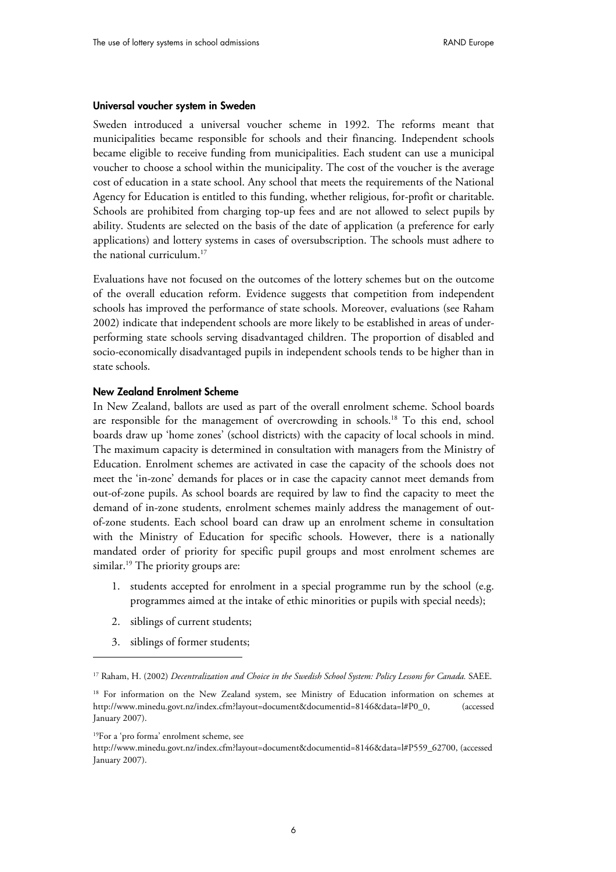#### **Universal voucher system in Sweden**

Sweden introduced a universal voucher scheme in 1992. The reforms meant that municipalities became responsible for schools and their financing. Independent schools became eligible to receive funding from municipalities. Each student can use a municipal voucher to choose a school within the municipality. The cost of the voucher is the average cost of education in a state school. Any school that meets the requirements of the National Agency for Education is entitled to this funding, whether religious, for-profit or charitable. Schools are prohibited from charging top-up fees and are not allowed to select pupils by ability. Students are selected on the basis of the date of application (a preference for early applications) and lottery systems in cases of oversubscription. The schools must adhere to the national curriculum.<sup>17</sup>

Evaluations have not focused on the outcomes of the lottery schemes but on the outcome of the overall education reform. Evidence suggests that competition from independent schools has improved the performance of state schools. Moreover, evaluations (see Raham 2002) indicate that independent schools are more likely to be established in areas of underperforming state schools serving disadvantaged children. The proportion of disabled and socio-economically disadvantaged pupils in independent schools tends to be higher than in state schools.

#### **New Zealand Enrolment Scheme**

In New Zealand, ballots are used as part of the overall enrolment scheme. School boards are responsible for the management of overcrowding in schools.18 To this end, school boards draw up 'home zones' (school districts) with the capacity of local schools in mind. The maximum capacity is determined in consultation with managers from the Ministry of Education. Enrolment schemes are activated in case the capacity of the schools does not meet the 'in-zone' demands for places or in case the capacity cannot meet demands from out-of-zone pupils. As school boards are required by law to find the capacity to meet the demand of in-zone students, enrolment schemes mainly address the management of outof-zone students. Each school board can draw up an enrolment scheme in consultation with the Ministry of Education for specific schools. However, there is a nationally mandated order of priority for specific pupil groups and most enrolment schemes are similar.<sup>19</sup> The priority groups are:

- 1. students accepted for enrolment in a special programme run by the school (e.g. programmes aimed at the intake of ethic minorities or pupils with special needs);
- 2. siblings of current students;
- 3. siblings of former students;

 $\overline{a}$ 

<sup>&</sup>lt;sup>17</sup> Raham, H. (2002) *Decentralization and Choice in the Swedish School System: Policy Lessons for Canada. SAEE.* 

<sup>&</sup>lt;sup>18</sup> For information on the New Zealand system, see Ministry of Education information on schemes at [http://www.minedu.govt.nz/index.cfm?layout=document&documentid=8146&data=l#P0\\_0,](http://www.minedu.govt.nz/index.cfm?layout=document&documentid=8146&data=l#P0_0) (accessed January 2007).

<sup>19</sup>For a 'pro forma' enrolment scheme, see

[http://www.minedu.govt.nz/index.cfm?layout=document&documentid=8146&data=l#P559\\_62700,](http://www.minedu.govt.nz/index.cfm?layout=document&documentid=8146&data=l#P559_62700) (accessed January 2007).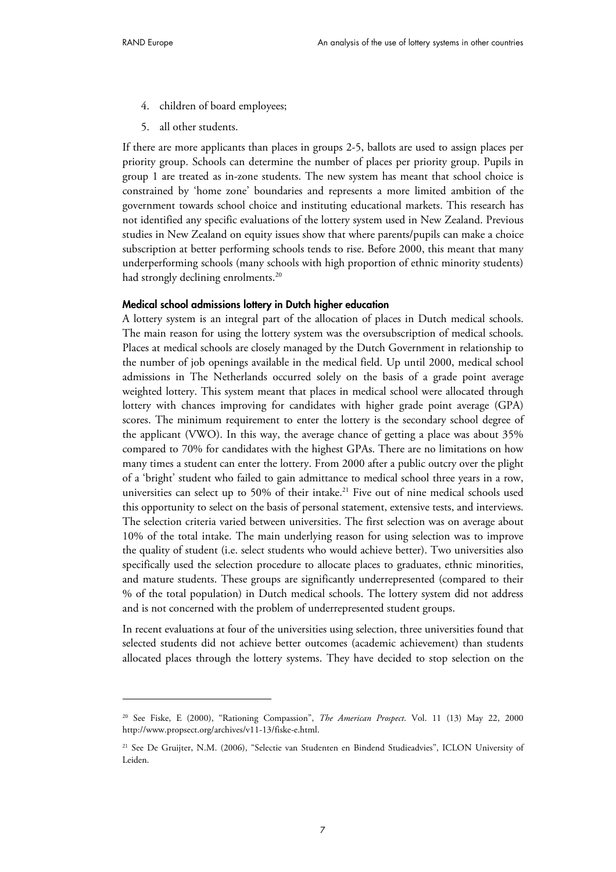-

- 4. children of board employees;
- 5. all other students.

If there are more applicants than places in groups 2-5, ballots are used to assign places per priority group. Schools can determine the number of places per priority group. Pupils in group 1 are treated as in-zone students. The new system has meant that school choice is constrained by 'home zone' boundaries and represents a more limited ambition of the government towards school choice and instituting educational markets. This research has not identified any specific evaluations of the lottery system used in New Zealand. Previous studies in New Zealand on equity issues show that where parents/pupils can make a choice subscription at better performing schools tends to rise. Before 2000, this meant that many underperforming schools (many schools with high proportion of ethnic minority students) had strongly declining enrolments.<sup>20</sup>

#### **Medical school admissions lottery in Dutch higher education**

A lottery system is an integral part of the allocation of places in Dutch medical schools. The main reason for using the lottery system was the oversubscription of medical schools. Places at medical schools are closely managed by the Dutch Government in relationship to the number of job openings available in the medical field. Up until 2000, medical school admissions in The Netherlands occurred solely on the basis of a grade point average weighted lottery. This system meant that places in medical school were allocated through lottery with chances improving for candidates with higher grade point average (GPA) scores. The minimum requirement to enter the lottery is the secondary school degree of the applicant (VWO). In this way, the average chance of getting a place was about 35% compared to 70% for candidates with the highest GPAs. There are no limitations on how many times a student can enter the lottery. From 2000 after a public outcry over the plight of a 'bright' student who failed to gain admittance to medical school three years in a row, universities can select up to 50% of their intake.<sup>21</sup> Five out of nine medical schools used this opportunity to select on the basis of personal statement, extensive tests, and interviews. The selection criteria varied between universities. The first selection was on average about 10% of the total intake. The main underlying reason for using selection was to improve the quality of student (i.e. select students who would achieve better). Two universities also specifically used the selection procedure to allocate places to graduates, ethnic minorities, and mature students. These groups are significantly underrepresented (compared to their % of the total population) in Dutch medical schools. The lottery system did not address and is not concerned with the problem of underrepresented student groups.

In recent evaluations at four of the universities using selection, three universities found that selected students did not achieve better outcomes (academic achievement) than students allocated places through the lottery systems. They have decided to stop selection on the

<sup>20</sup> See Fiske, E (2000), "Rationing Compassion", *The American Prospect*. Vol. 11 (13) May 22, 2000 [http://www.propsect.org/archives/v11-13/fiske-e.html.](http://www.propsect.org/archives/v11-13/fiske-e.html) 

<sup>21</sup> See De Gruijter, N.M. (2006), "Selectie van Studenten en Bindend Studieadvies", ICLON University of Leiden.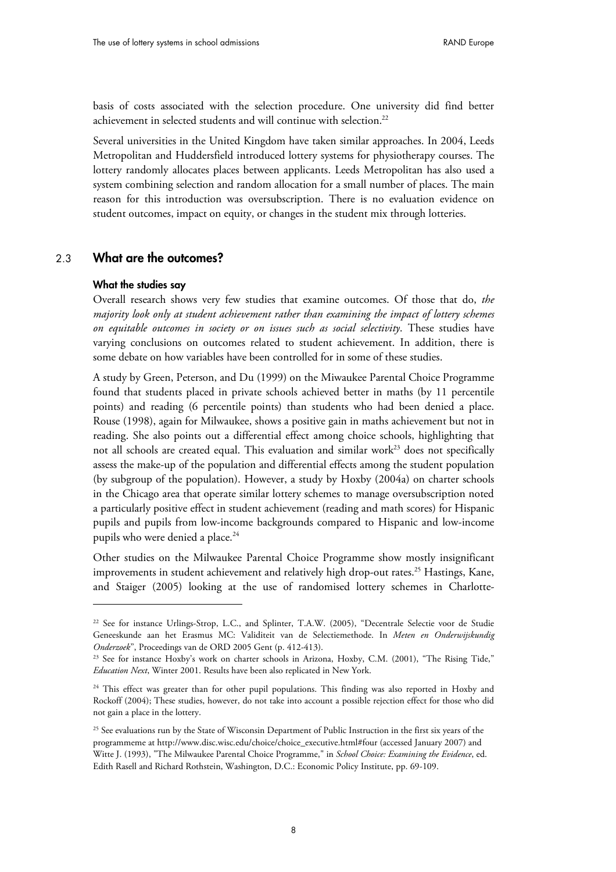basis of costs associated with the selection procedure. One university did find better achievement in selected students and will continue with selection.<sup>22</sup>

Several universities in the United Kingdom have taken similar approaches. In 2004, Leeds Metropolitan and Huddersfield introduced lottery systems for physiotherapy courses. The lottery randomly allocates places between applicants. Leeds Metropolitan has also used a system combining selection and random allocation for a small number of places. The main reason for this introduction was oversubscription. There is no evaluation evidence on student outcomes, impact on equity, or changes in the student mix through lotteries.

#### 2.3 **What are the outcomes?**

#### **What the studies say**

-

Overall research shows very few studies that examine outcomes. Of those that do, *the majority look only at student achievement rather than examining the impact of lottery schemes on equitable outcomes in society or on issues such as social selectivity*. These studies have varying conclusions on outcomes related to student achievement. In addition, there is some debate on how variables have been controlled for in some of these studies.

A study by Green, Peterson, and Du (1999) on the Miwaukee Parental Choice Programme found that students placed in private schools achieved better in maths (by 11 percentile points) and reading (6 percentile points) than students who had been denied a place. Rouse (1998), again for Milwaukee, shows a positive gain in maths achievement but not in reading. She also points out a differential effect among choice schools, highlighting that not all schools are created equal. This evaluation and similar work<sup>23</sup> does not specifically assess the make-up of the population and differential effects among the student population (by subgroup of the population). However, a study by Hoxby (2004a) on charter schools in the Chicago area that operate similar lottery schemes to manage oversubscription noted a particularly positive effect in student achievement (reading and math scores) for Hispanic pupils and pupils from low-income backgrounds compared to Hispanic and low-income pupils who were denied a place.<sup>24</sup>

Other studies on the Milwaukee Parental Choice Programme show mostly insignificant improvements in student achievement and relatively high drop-out rates.<sup>25</sup> Hastings, Kane, and Staiger (2005) looking at the use of randomised lottery schemes in Charlotte-

<sup>&</sup>lt;sup>22</sup> See for instance Urlings-Strop, L.C., and Splinter, T.A.W. (2005), "Decentrale Selectie voor de Studie Geneeskunde aan het Erasmus MC: Validiteit van de Selectiemethode. In *Meten en Onderwijskundig Onderzoek*", Proceedings van de ORD 2005 Gent (p. 412-413). 23 See for instance Hoxby's work on charter schools in Arizona, Hoxby, C.M. (2001), "The Rising Tide,"

*Education Next*, Winter 2001. Results have been also replicated in New York.

<sup>&</sup>lt;sup>24</sup> This effect was greater than for other pupil populations. This finding was also reported in Hoxby and Rockoff (2004); These studies, however, do not take into account a possible rejection effect for those who did not gain a place in the lottery.

<sup>&</sup>lt;sup>25</sup> See evaluations run by the State of Wisconsin Department of Public Instruction in the first six years of the programmeme at [http://www.disc.wisc.edu/choice/choice\\_executive.html#four \(ac](http://www.disc.wisc.edu/choice/choice_executive.html#four)cessed January 2007) and Witte J. (1993), "The Milwaukee Parental Choice Programme," in *School Choice: Examining the Evidence*, ed. Edith Rasell and Richard Rothstein, Washington, D.C.: Economic Policy Institute, pp. 69-109.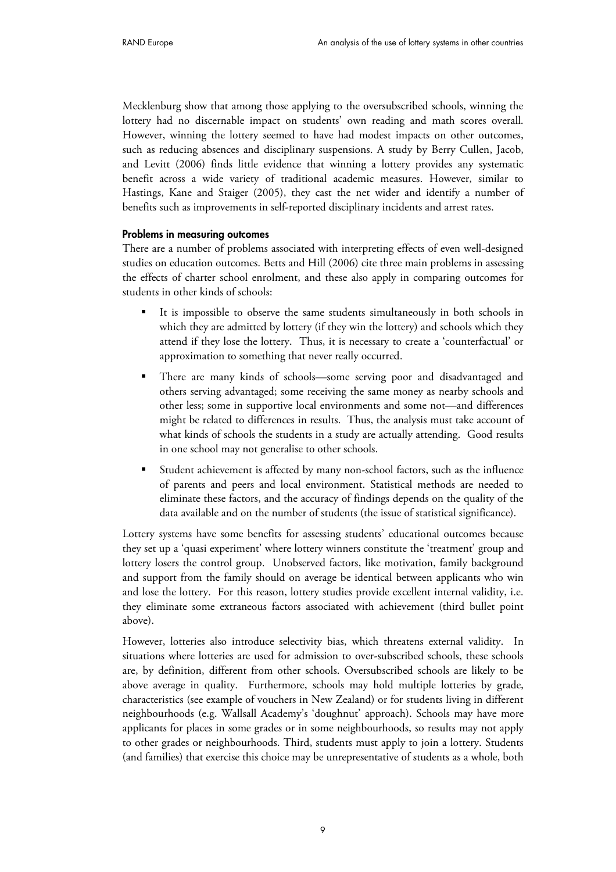Mecklenburg show that among those applying to the oversubscribed schools, winning the lottery had no discernable impact on students' own reading and math scores overall. However, winning the lottery seemed to have had modest impacts on other outcomes, such as reducing absences and disciplinary suspensions. A study by Berry Cullen, Jacob, and Levitt (2006) finds little evidence that winning a lottery provides any systematic benefit across a wide variety of traditional academic measures. However, similar to Hastings, Kane and Staiger (2005), they cast the net wider and identify a number of benefits such as improvements in self-reported disciplinary incidents and arrest rates.

#### **Problems in measuring outcomes**

There are a number of problems associated with interpreting effects of even well-designed studies on education outcomes. Betts and Hill (2006) cite three main problems in assessing the effects of charter school enrolment, and these also apply in comparing outcomes for students in other kinds of schools:

- - It is impossible to observe the same students simultaneously in both schools in which they are admitted by lottery (if they win the lottery) and schools which they attend if they lose the lottery. Thus, it is necessary to create a 'counterfactual' or approximation to something that never really occurred.
- There are many kinds of schools—some serving poor and disadvantaged and others serving advantaged; some receiving the same money as nearby schools and other less; some in supportive local environments and some not—and differences might be related to differences in results. Thus, the analysis must take account of what kinds of schools the students in a study are actually attending. Good results in one school may not generalise to other schools.
- Student achievement is affected by many non-school factors, such as the influence of parents and peers and local environment. Statistical methods are needed to eliminate these factors, and the accuracy of findings depends on the quality of the data available and on the number of students (the issue of statistical significance).

Lottery systems have some benefits for assessing students' educational outcomes because they set up a 'quasi experiment' where lottery winners constitute the 'treatment' group and lottery losers the control group. Unobserved factors, like motivation, family background and support from the family should on average be identical between applicants who win and lose the lottery. For this reason, lottery studies provide excellent internal validity, i.e. they eliminate some extraneous factors associated with achievement (third bullet point above).

However, lotteries also introduce selectivity bias, which threatens external validity. In situations where lotteries are used for admission to over-subscribed schools, these schools are, by definition, different from other schools. Oversubscribed schools are likely to be above average in quality. Furthermore, schools may hold multiple lotteries by grade, characteristics (see example of vouchers in New Zealand) or for students living in different neighbourhoods (e.g. Wallsall Academy's 'doughnut' approach). Schools may have more applicants for places in some grades or in some neighbourhoods, so results may not apply to other grades or neighbourhoods. Third, students must apply to join a lottery. Students (and families) that exercise this choice may be unrepresentative of students as a whole, both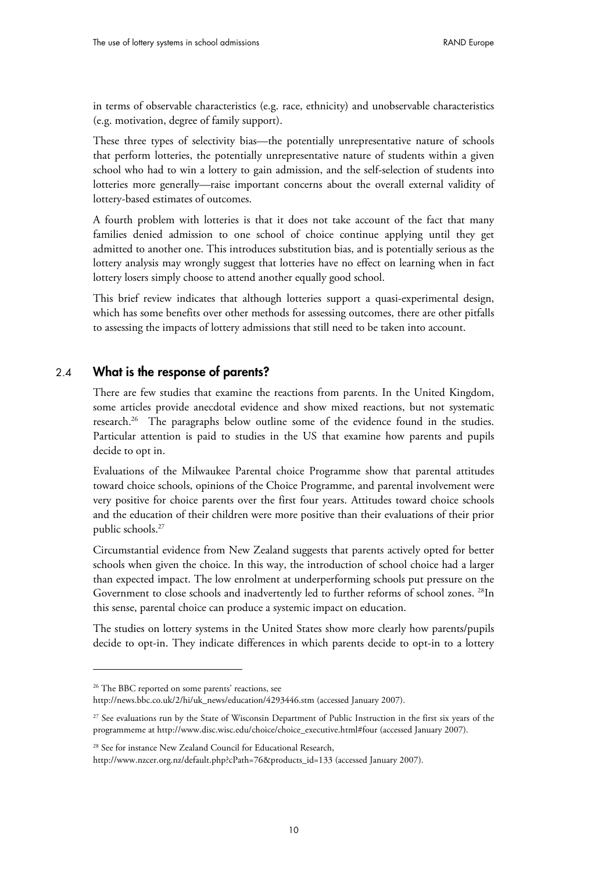in terms of observable characteristics (e.g. race, ethnicity) and unobservable characteristics (e.g. motivation, degree of family support).

These three types of selectivity bias—the potentially unrepresentative nature of schools that perform lotteries, the potentially unrepresentative nature of students within a given school who had to win a lottery to gain admission, and the self-selection of students into lotteries more generally—raise important concerns about the overall external validity of lottery-based estimates of outcomes.

A fourth problem with lotteries is that it does not take account of the fact that many families denied admission to one school of choice continue applying until they get admitted to another one. This introduces substitution bias, and is potentially serious as the lottery analysis may wrongly suggest that lotteries have no effect on learning when in fact lottery losers simply choose to attend another equally good school.

This brief review indicates that although lotteries support a quasi-experimental design, which has some benefits over other methods for assessing outcomes, there are other pitfalls to assessing the impacts of lottery admissions that still need to be taken into account.

#### 2.4 **What is the response of parents?**

-

There are few studies that examine the reactions from parents. In the United Kingdom, some articles provide anecdotal evidence and show mixed reactions, but not systematic research.26 The paragraphs below outline some of the evidence found in the studies. Particular attention is paid to studies in the US that examine how parents and pupils decide to opt in.

Evaluations of the Milwaukee Parental choice Programme show that parental attitudes toward choice schools, opinions of the Choice Programme, and parental involvement were very positive for choice parents over the first four years. Attitudes toward choice schools and the education of their children were more positive than their evaluations of their prior public schools.<sup>27</sup>

Circumstantial evidence from New Zealand suggests that parents actively opted for better schools when given the choice. In this way, the introduction of school choice had a larger than expected impact. The low enrolment at underperforming schools put pressure on the Government to close schools and inadvertently led to further reforms of school zones.<sup>28</sup>In this sense, parental choice can produce a systemic impact on education.

The studies on lottery systems in the United States show more clearly how parents/pupils decide to opt-in. They indicate differences in which parents decide to opt-in to a lottery

<sup>&</sup>lt;sup>26</sup> The BBC reported on some parents' reactions, see [http://news.bbc.co.uk/2/hi/uk\\_news/education/4293446.stm](http://news.bbc.co.uk/2/hi/uk_news/education/4293446.stm) (accessed January 2007).

<sup>&</sup>lt;sup>27</sup> See evaluations run by the State of Wisconsin Department of Public Instruction in the first six years of the programmeme at [http://www.disc.wisc.edu/choice/choice\\_executive.html#four](http://www.disc.wisc.edu/choice/choice_executive.html#four) (accessed January 2007).

<sup>&</sup>lt;sup>28</sup> See for instance New Zealand Council for Educational Research,

[http://www.nzcer.org.nz/default.php?cPath=76&products\\_id=133](http://www.nzcer.org.nz/default.php?cPath=76&products_id=133) (accessed January 2007).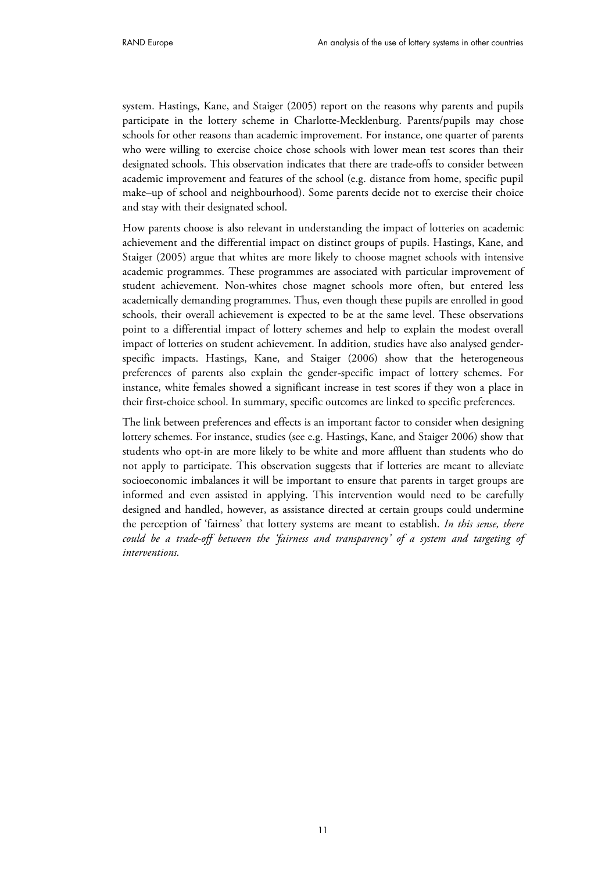system. Hastings, Kane, and Staiger (2005) report on the reasons why parents and pupils participate in the lottery scheme in Charlotte-Mecklenburg. Parents/pupils may chose schools for other reasons than academic improvement. For instance, one quarter of parents who were willing to exercise choice chose schools with lower mean test scores than their designated schools. This observation indicates that there are trade-offs to consider between academic improvement and features of the school (e.g. distance from home, specific pupil make–up of school and neighbourhood). Some parents decide not to exercise their choice and stay with their designated school.

How parents choose is also relevant in understanding the impact of lotteries on academic achievement and the differential impact on distinct groups of pupils. Hastings, Kane, and Staiger (2005) argue that whites are more likely to choose magnet schools with intensive academic programmes. These programmes are associated with particular improvement of student achievement. Non-whites chose magnet schools more often, but entered less academically demanding programmes. Thus, even though these pupils are enrolled in good schools, their overall achievement is expected to be at the same level. These observations point to a differential impact of lottery schemes and help to explain the modest overall impact of lotteries on student achievement. In addition, studies have also analysed genderspecific impacts. Hastings, Kane, and Staiger (2006) show that the heterogeneous preferences of parents also explain the gender-specific impact of lottery schemes. For instance, white females showed a significant increase in test scores if they won a place in their first-choice school. In summary, specific outcomes are linked to specific preferences.

The link between preferences and effects is an important factor to consider when designing lottery schemes. For instance, studies (see e.g. Hastings, Kane, and Staiger 2006) show that students who opt-in are more likely to be white and more affluent than students who do not apply to participate. This observation suggests that if lotteries are meant to alleviate socioeconomic imbalances it will be important to ensure that parents in target groups are informed and even assisted in applying. This intervention would need to be carefully designed and handled, however, as assistance directed at certain groups could undermine the perception of 'fairness' that lottery systems are meant to establish. *In this sense, there could be a trade-off between the 'fairness and transparency' of a system and targeting of interventions.*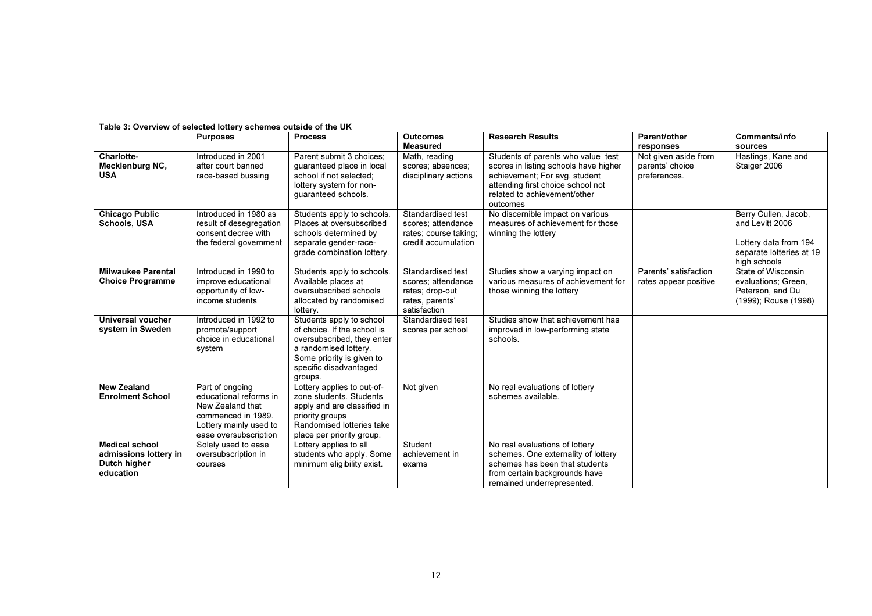|                                                                             | <b>Purposes</b>                                                                                                                        | <b>Process</b>                                                                                                                                                                   | <b>Outcomes</b><br><b>Measured</b>                                                            | <b>Research Results</b>                                                                                                                                                                       | Parent/other<br>responses                               | <b>Comments/info</b><br>sources                                                                              |
|-----------------------------------------------------------------------------|----------------------------------------------------------------------------------------------------------------------------------------|----------------------------------------------------------------------------------------------------------------------------------------------------------------------------------|-----------------------------------------------------------------------------------------------|-----------------------------------------------------------------------------------------------------------------------------------------------------------------------------------------------|---------------------------------------------------------|--------------------------------------------------------------------------------------------------------------|
| Charlotte-<br>Mecklenburg NC,<br><b>USA</b>                                 | Introduced in 2001<br>after court banned<br>race-based bussing                                                                         | Parent submit 3 choices:<br>guaranteed place in local<br>school if not selected;<br>lottery system for non-<br>guaranteed schools.                                               | Math, reading<br>scores; absences;<br>disciplinary actions                                    | Students of parents who value test<br>scores in listing schools have higher<br>achievement; For avg. student<br>attending first choice school not<br>related to achievement/other<br>outcomes | Not given aside from<br>parents' choice<br>preferences. | Hastings, Kane and<br>Staiger 2006                                                                           |
| <b>Chicago Public</b><br>Schools, USA                                       | Introduced in 1980 as<br>result of desegregation<br>consent decree with<br>the federal government                                      | Students apply to schools.<br>Places at oversubscribed<br>schools determined by<br>separate gender-race-<br>grade combination lottery.                                           | Standardised test<br>scores; attendance<br>rates; course taking;<br>credit accumulation       | No discernible impact on various<br>measures of achievement for those<br>winning the lottery                                                                                                  |                                                         | Berry Cullen, Jacob,<br>and Levitt 2006<br>Lottery data from 194<br>separate lotteries at 19<br>high schools |
| <b>Milwaukee Parental</b><br><b>Choice Programme</b>                        | Introduced in 1990 to<br>improve educational<br>opportunity of low-<br>income students                                                 | Students apply to schools.<br>Available places at<br>oversubscribed schools<br>allocated by randomised<br>lottery.                                                               | Standardised test<br>scores: attendance<br>rates; drop-out<br>rates, parents'<br>satisfaction | Studies show a varying impact on<br>various measures of achievement for<br>those winning the lottery                                                                                          | Parents' satisfaction<br>rates appear positive          | State of Wisconsin<br>evaluations; Green,<br>Peterson, and Du<br>(1999); Rouse (1998)                        |
| Universal voucher<br>system in Sweden                                       | Introduced in 1992 to<br>promote/support<br>choice in educational<br>system                                                            | Students apply to school<br>of choice. If the school is<br>oversubscribed, they enter<br>a randomised lottery.<br>Some priority is given to<br>specific disadvantaged<br>groups. | Standardised test<br>scores per school                                                        | Studies show that achievement has<br>improved in low-performing state<br>schools.                                                                                                             |                                                         |                                                                                                              |
| <b>New Zealand</b><br><b>Enrolment School</b>                               | Part of ongoing<br>educational reforms in<br>New Zealand that<br>commenced in 1989.<br>Lottery mainly used to<br>ease oversubscription | Lottery applies to out-of-<br>zone students. Students<br>apply and are classified in<br>priority groups<br>Randomised lotteries take<br>place per priority group.                | Not given                                                                                     | No real evaluations of lottery<br>schemes available.                                                                                                                                          |                                                         |                                                                                                              |
| <b>Medical school</b><br>admissions lottery in<br>Dutch higher<br>education | Solely used to ease<br>oversubscription in<br>courses                                                                                  | Lottery applies to all<br>students who apply. Some<br>minimum eligibility exist.                                                                                                 | Student<br>achievement in<br>exams                                                            | No real evaluations of lottery<br>schemes. One externality of lottery<br>schemes has been that students<br>from certain backgrounds have<br>remained underrepresented.                        |                                                         |                                                                                                              |

#### Table 3: Overview of selected lottery schemes outside of the UK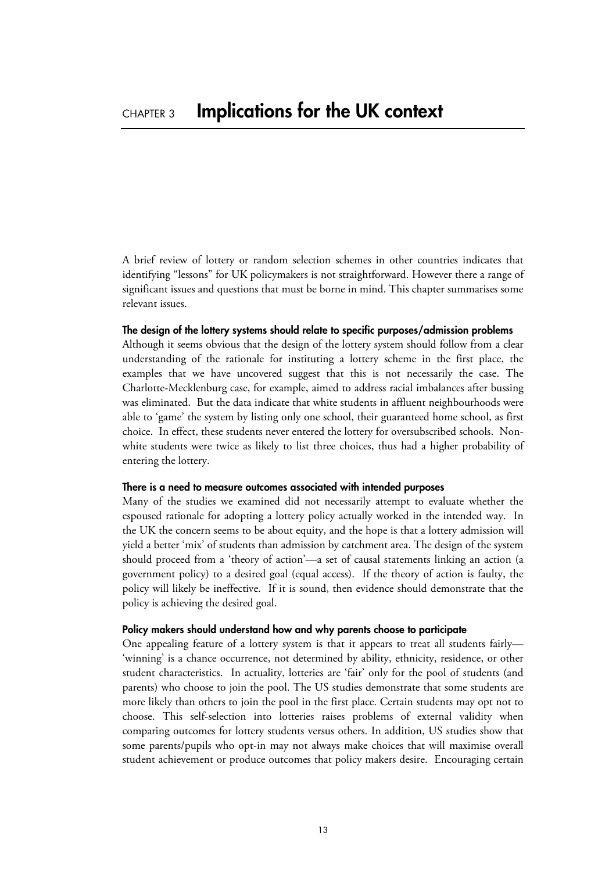A brief review of lottery or random selection schemes in other countries indicates that identifying "lessons" for UK policymakers is not straightforward. However there a range of significant issues and questions that must be borne in mind. This chapter summarises some relevant issues.

#### **The design of the lottery systems should relate to specific purposes/admission problems**

Although it seems obvious that the design of the lottery system should follow from a clear understanding of the rationale for instituting a lottery scheme in the first place, the examples that we have uncovered suggest that this is not necessarily the case. The Charlotte-Mecklenburg case, for example, aimed to address racial imbalances after bussing was eliminated. But the data indicate that white students in affluent neighbourhoods were able to 'game' the system by listing only one school, their guaranteed home school, as first choice. In effect, these students never entered the lottery for oversubscribed schools. Nonwhite students were twice as likely to list three choices, thus had a higher probability of entering the lottery.

#### **There is a need to measure outcomes associated with intended purposes**

Many of the studies we examined did not necessarily attempt to evaluate whether the espoused rationale for adopting a lottery policy actually worked in the intended way. In the UK the concern seems to be about equity, and the hope is that a lottery admission will yield a better 'mix' of students than admission by catchment area. The design of the system should proceed from a 'theory of action'—a set of causal statements linking an action (a government policy) to a desired goal (equal access). If the theory of action is faulty, the policy will likely be ineffective. If it is sound, then evidence should demonstrate that the policy is achieving the desired goal.

#### **Policy makers should understand how and why parents choose to participate**

One appealing feature of a lottery system is that it appears to treat all students fairly— 'winning' is a chance occurrence, not determined by ability, ethnicity, residence, or other student characteristics. In actuality, lotteries are 'fair' only for the pool of students (and parents) who choose to join the pool. The US studies demonstrate that some students are more likely than others to join the pool in the first place. Certain students may opt not to choose. This self-selection into lotteries raises problems of external validity when comparing outcomes for lottery students versus others. In addition, US studies show that some parents/pupils who opt-in may not always make choices that will maximise overall student achievement or produce outcomes that policy makers desire. Encouraging certain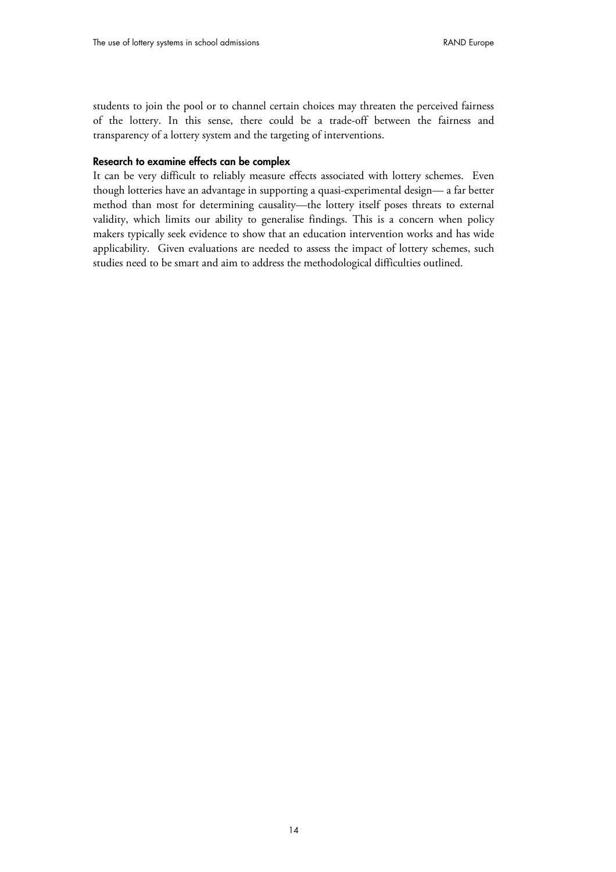students to join the pool or to channel certain choices may threaten the perceived fairness of the lottery. In this sense, there could be a trade-off between the fairness and transparency of a lottery system and the targeting of interventions.

#### **Research to examine effects can be complex**

It can be very difficult to reliably measure effects associated with lottery schemes. Even though lotteries have an advantage in supporting a quasi-experimental design— a far better method than most for determining causality—the lottery itself poses threats to external validity, which limits our ability to generalise findings. This is a concern when policy makers typically seek evidence to show that an education intervention works and has wide applicability. Given evaluations are needed to assess the impact of lottery schemes, such studies need to be smart and aim to address the methodological difficulties outlined.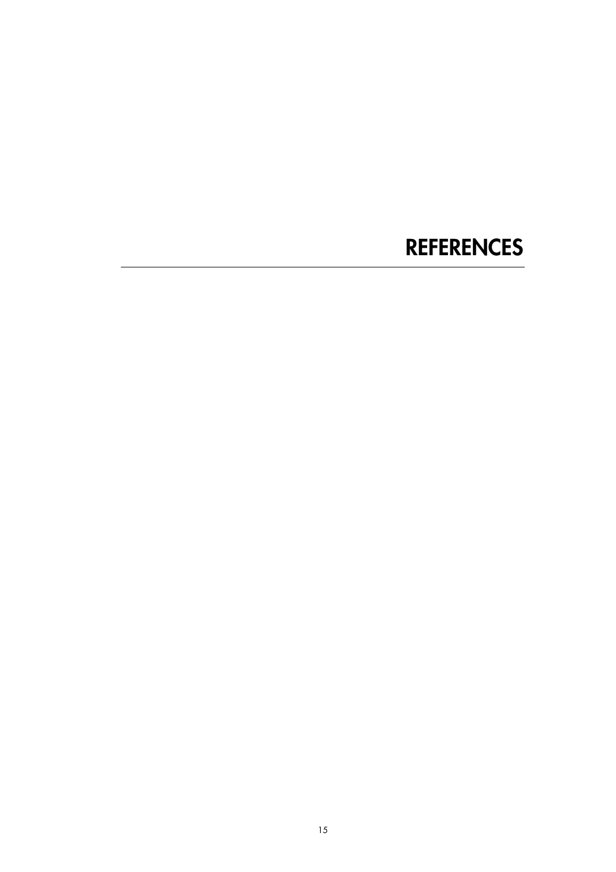# **REFERENCES**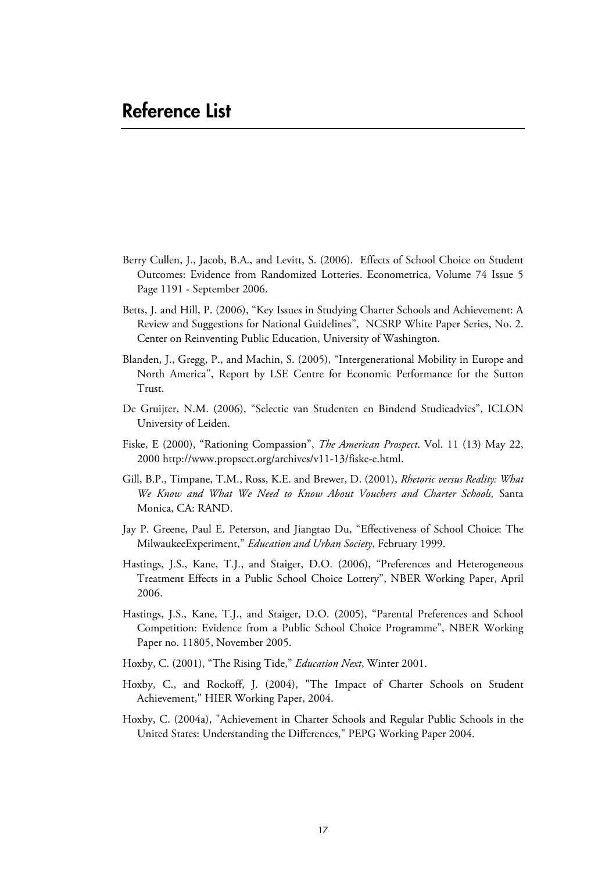### **Reference List**

- Berry Cullen, J., Jacob, B.A., and Levitt, S. (2006). Effects of School Choice on Student Outcomes: Evidence from Randomized Lotteries. Econometrica, Volume 74 Issue 5 Page 1191 - September 2006.
- Betts, J. and Hill, P. (2006), "Key Issues in Studying Charter Schools and Achievement: A Review and Suggestions for National Guidelines", NCSRP White Paper Series, No. 2. Center on Reinventing Public Education, University of Washington.
- Blanden, J., Gregg, P., and Machin, S. (2005), "Intergenerational Mobility in Europe and North America", Report by LSE Centre for Economic Performance for the Sutton Trust.
- De Gruijter, N.M. (2006), "Selectie van Studenten en Bindend Studieadvies", ICLON University of Leiden.
- Fiske, E (2000), "Rationing Compassion", *The American Prospect*. Vol. 11 (13) May 22, 2000 [http://www.propsect.org/archives/v11-13/fiske-e.html.](http://www.propsect.org/archives/v11-13/fiske-e.html)
- Gill, B.P., Timpane, T.M., Ross, K.E. and Brewer, D. (2001), *Rhetoric versus Reality: What We Know and What We Need to Know About Vouchers and Charter Schools,* Santa Monica, CA: RAND.
- Jay P. Greene, Paul E. Peterson, and Jiangtao Du, "Effectiveness of School Choice: The MilwaukeeExperiment," *Education and Urban Society*, February 1999.
- Hastings, J.S., Kane, T.J., and Staiger, D.O. (2006), "Preferences and Heterogeneous Treatment Effects in a Public School Choice Lottery", NBER Working Paper, April 2006.
- Hastings, J.S., Kane, T.J., and Staiger, D.O. (2005), "Parental Preferences and School Competition: Evidence from a Public School Choice Programme", NBER Working Paper no. 11805, November 2005.
- Hoxby, C. (2001), "The Rising Tide," *Education Next*, Winter 2001.
- Hoxby, C., and Rockoff, J. (2004), "The Impact of Charter Schools on Student Achievement," HIER Working Paper, 2004.
- Hoxby, C. (2004a), "Achievement in Charter Schools and Regular Public Schools in the United States: Understanding the Differences," PEPG Working Paper 2004.